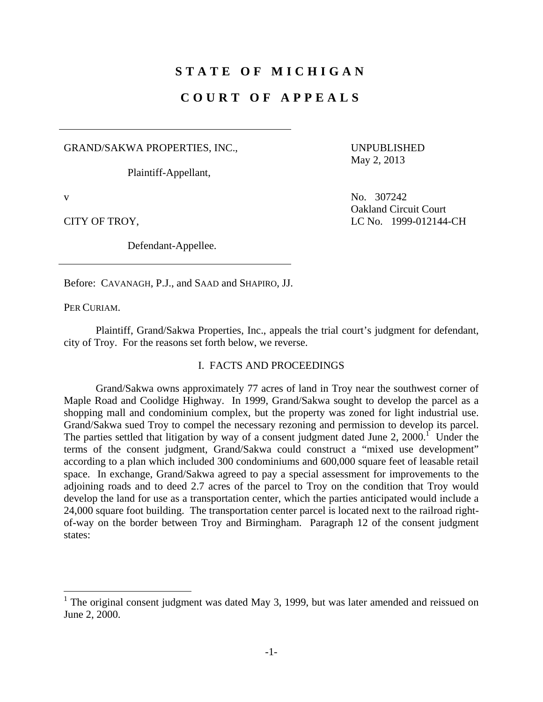# **STATE OF MICHIGAN**

## **COURT OF APPEALS**

GRAND/SAKWA PROPERTIES, INC.,

Plaintiff-Appellant,

UNPUBLISHED May 2, 2013

Defendant-Appellee.

v No. 307242 Oakland Circuit Court CITY OF TROY, LC No. 1999-012144-CH

Before: CAVANAGH, P.J., and SAAD and SHAPIRO, JJ.

PER CURIAM.

 Plaintiff, Grand/Sakwa Properties, Inc., appeals the trial court's judgment for defendant, city of Troy. For the reasons set forth below, we reverse.

### I. FACTS AND PROCEEDINGS

 Grand/Sakwa owns approximately 77 acres of land in Troy near the southwest corner of Maple Road and Coolidge Highway. In 1999, Grand/Sakwa sought to develop the parcel as a shopping mall and condominium complex, but the property was zoned for light industrial use. Grand/Sakwa sued Troy to compel the necessary rezoning and permission to develop its parcel. The parties settled that litigation by way of a consent judgment dated June 2, 2000.<sup> $\Gamma$ </sup> Under the terms of the consent judgment, Grand/Sakwa could construct a "mixed use development" according to a plan which included 300 condominiums and 600,000 square feet of leasable retail space. In exchange, Grand/Sakwa agreed to pay a special assessment for improvements to the adjoining roads and to deed 2.7 acres of the parcel to Troy on the condition that Troy would develop the land for use as a transportation center, which the parties anticipated would include a 24,000 square foot building. The transportation center parcel is located next to the railroad rightof-way on the border between Troy and Birmingham. Paragraph 12 of the consent judgment states:

The original consent judgment was dated May 3, 1999, but was later amended and reissued on June 2, 2000.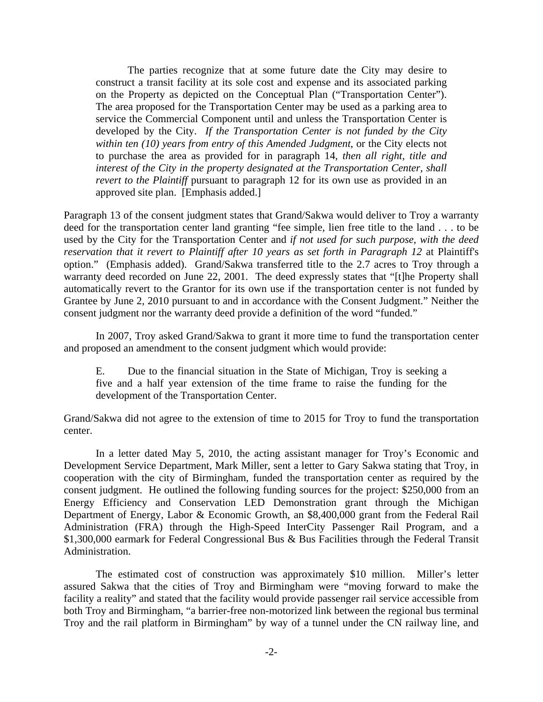The parties recognize that at some future date the City may desire to construct a transit facility at its sole cost and expense and its associated parking on the Property as depicted on the Conceptual Plan ("Transportation Center"). The area proposed for the Transportation Center may be used as a parking area to service the Commercial Component until and unless the Transportation Center is developed by the City. *If the Transportation Center is not funded by the City within ten (10) years from entry of this Amended Judgment*, or the City elects not to purchase the area as provided for in paragraph 14, *then all right, title and interest of the City in the property designated at the Transportation Center, shall revert to the Plaintiff* pursuant to paragraph 12 for its own use as provided in an approved site plan. [Emphasis added.]

Paragraph 13 of the consent judgment states that Grand/Sakwa would deliver to Troy a warranty deed for the transportation center land granting "fee simple, lien free title to the land . . . to be used by the City for the Transportation Center and *if not used for such purpose, with the deed reservation that it revert to Plaintiff after 10 years as set forth in Paragraph 12* at Plaintiff's option." (Emphasis added). Grand/Sakwa transferred title to the 2.7 acres to Troy through a warranty deed recorded on June 22, 2001. The deed expressly states that "[t]he Property shall automatically revert to the Grantor for its own use if the transportation center is not funded by Grantee by June 2, 2010 pursuant to and in accordance with the Consent Judgment." Neither the consent judgment nor the warranty deed provide a definition of the word "funded."

 In 2007, Troy asked Grand/Sakwa to grant it more time to fund the transportation center and proposed an amendment to the consent judgment which would provide:

E. Due to the financial situation in the State of Michigan, Troy is seeking a five and a half year extension of the time frame to raise the funding for the development of the Transportation Center.

Grand/Sakwa did not agree to the extension of time to 2015 for Troy to fund the transportation center.

 In a letter dated May 5, 2010, the acting assistant manager for Troy's Economic and Development Service Department, Mark Miller, sent a letter to Gary Sakwa stating that Troy, in cooperation with the city of Birmingham, funded the transportation center as required by the consent judgment. He outlined the following funding sources for the project: \$250,000 from an Energy Efficiency and Conservation LED Demonstration grant through the Michigan Department of Energy, Labor & Economic Growth, an \$8,400,000 grant from the Federal Rail Administration (FRA) through the High-Speed InterCity Passenger Rail Program, and a \$1,300,000 earmark for Federal Congressional Bus & Bus Facilities through the Federal Transit Administration.

 The estimated cost of construction was approximately \$10 million. Miller's letter assured Sakwa that the cities of Troy and Birmingham were "moving forward to make the facility a reality" and stated that the facility would provide passenger rail service accessible from both Troy and Birmingham, "a barrier-free non-motorized link between the regional bus terminal Troy and the rail platform in Birmingham" by way of a tunnel under the CN railway line, and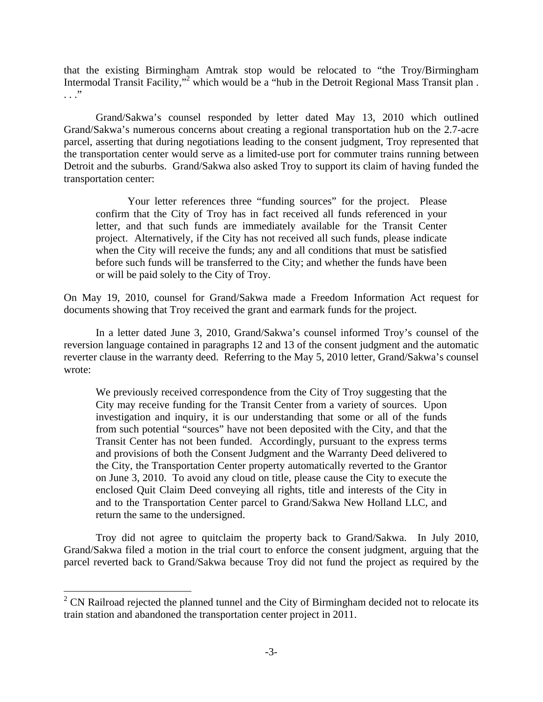that the existing Birmingham Amtrak stop would be relocated to "the Troy/Birmingham Intermodal Transit Facility,"<sup>2</sup> which would be a "hub in the Detroit Regional Mass Transit plan. . . ."

 Grand/Sakwa's counsel responded by letter dated May 13, 2010 which outlined Grand/Sakwa's numerous concerns about creating a regional transportation hub on the 2.7-acre parcel, asserting that during negotiations leading to the consent judgment, Troy represented that the transportation center would serve as a limited-use port for commuter trains running between Detroit and the suburbs. Grand/Sakwa also asked Troy to support its claim of having funded the transportation center:

 Your letter references three "funding sources" for the project. Please confirm that the City of Troy has in fact received all funds referenced in your letter, and that such funds are immediately available for the Transit Center project. Alternatively, if the City has not received all such funds, please indicate when the City will receive the funds; any and all conditions that must be satisfied before such funds will be transferred to the City; and whether the funds have been or will be paid solely to the City of Troy.

On May 19, 2010, counsel for Grand/Sakwa made a Freedom Information Act request for documents showing that Troy received the grant and earmark funds for the project.

 In a letter dated June 3, 2010, Grand/Sakwa's counsel informed Troy's counsel of the reversion language contained in paragraphs 12 and 13 of the consent judgment and the automatic reverter clause in the warranty deed. Referring to the May 5, 2010 letter, Grand/Sakwa's counsel wrote:

We previously received correspondence from the City of Troy suggesting that the City may receive funding for the Transit Center from a variety of sources. Upon investigation and inquiry, it is our understanding that some or all of the funds from such potential "sources" have not been deposited with the City, and that the Transit Center has not been funded. Accordingly, pursuant to the express terms and provisions of both the Consent Judgment and the Warranty Deed delivered to the City, the Transportation Center property automatically reverted to the Grantor on June 3, 2010. To avoid any cloud on title, please cause the City to execute the enclosed Quit Claim Deed conveying all rights, title and interests of the City in and to the Transportation Center parcel to Grand/Sakwa New Holland LLC, and return the same to the undersigned.

 Troy did not agree to quitclaim the property back to Grand/Sakwa. In July 2010, Grand/Sakwa filed a motion in the trial court to enforce the consent judgment, arguing that the parcel reverted back to Grand/Sakwa because Troy did not fund the project as required by the

1

 $2^2$  CN Railroad rejected the planned tunnel and the City of Birmingham decided not to relocate its train station and abandoned the transportation center project in 2011.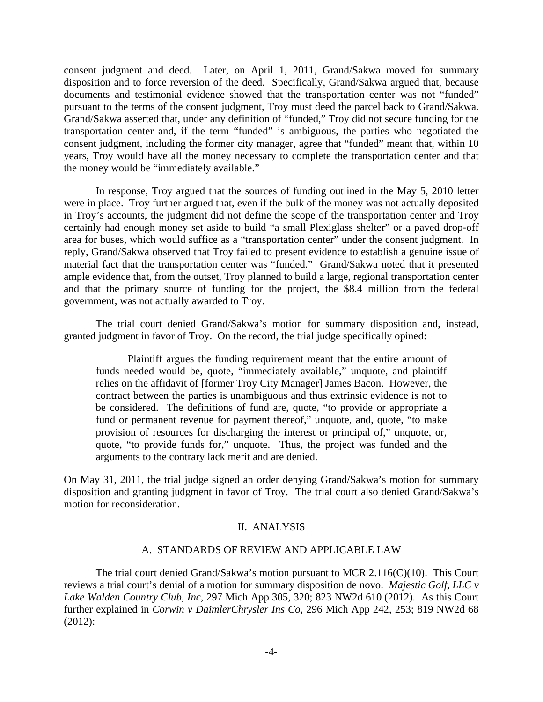consent judgment and deed. Later, on April 1, 2011, Grand/Sakwa moved for summary disposition and to force reversion of the deed. Specifically, Grand/Sakwa argued that, because documents and testimonial evidence showed that the transportation center was not "funded" pursuant to the terms of the consent judgment, Troy must deed the parcel back to Grand/Sakwa. Grand/Sakwa asserted that, under any definition of "funded," Troy did not secure funding for the transportation center and, if the term "funded" is ambiguous, the parties who negotiated the consent judgment, including the former city manager, agree that "funded" meant that, within 10 years, Troy would have all the money necessary to complete the transportation center and that the money would be "immediately available."

 In response, Troy argued that the sources of funding outlined in the May 5, 2010 letter were in place. Troy further argued that, even if the bulk of the money was not actually deposited in Troy's accounts, the judgment did not define the scope of the transportation center and Troy certainly had enough money set aside to build "a small Plexiglass shelter" or a paved drop-off area for buses, which would suffice as a "transportation center" under the consent judgment. In reply, Grand/Sakwa observed that Troy failed to present evidence to establish a genuine issue of material fact that the transportation center was "funded." Grand/Sakwa noted that it presented ample evidence that, from the outset, Troy planned to build a large, regional transportation center and that the primary source of funding for the project, the \$8.4 million from the federal government, was not actually awarded to Troy.

 The trial court denied Grand/Sakwa's motion for summary disposition and, instead, granted judgment in favor of Troy. On the record, the trial judge specifically opined:

 Plaintiff argues the funding requirement meant that the entire amount of funds needed would be, quote, "immediately available," unquote, and plaintiff relies on the affidavit of [former Troy City Manager] James Bacon. However, the contract between the parties is unambiguous and thus extrinsic evidence is not to be considered. The definitions of fund are, quote, "to provide or appropriate a fund or permanent revenue for payment thereof," unquote, and, quote, "to make provision of resources for discharging the interest or principal of," unquote, or, quote, "to provide funds for," unquote. Thus, the project was funded and the arguments to the contrary lack merit and are denied.

On May 31, 2011, the trial judge signed an order denying Grand/Sakwa's motion for summary disposition and granting judgment in favor of Troy. The trial court also denied Grand/Sakwa's motion for reconsideration.

### II. ANALYSIS

### A. STANDARDS OF REVIEW AND APPLICABLE LAW

 The trial court denied Grand/Sakwa's motion pursuant to MCR 2.116(C)(10). This Court reviews a trial court's denial of a motion for summary disposition de novo. *Majestic Golf, LLC v Lake Walden Country Club, Inc*, 297 Mich App 305, 320; 823 NW2d 610 (2012). As this Court further explained in *Corwin v DaimlerChrysler Ins Co*, 296 Mich App 242, 253; 819 NW2d 68 (2012):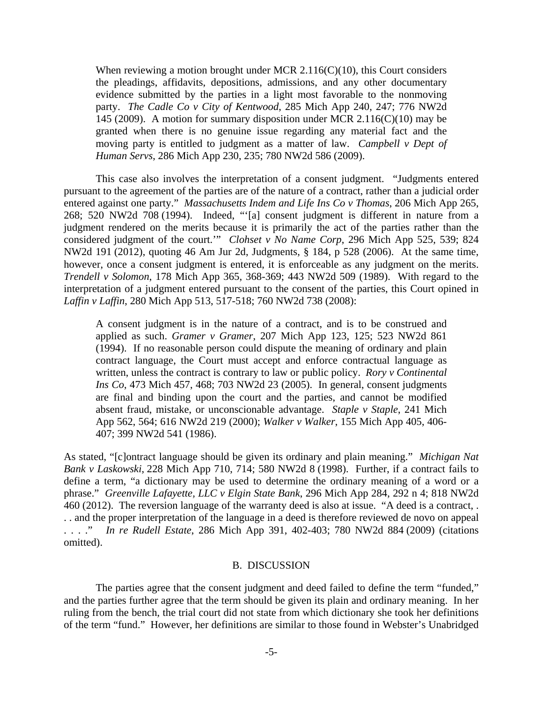When reviewing a motion brought under MCR 2.116(C)(10), this Court considers the pleadings, affidavits, depositions, admissions, and any other documentary evidence submitted by the parties in a light most favorable to the nonmoving party. *The Cadle Co v City of Kentwood*, 285 Mich App 240, 247; 776 NW2d 145 (2009). A motion for summary disposition under MCR 2.116(C)(10) may be granted when there is no genuine issue regarding any material fact and the moving party is entitled to judgment as a matter of law. *Campbell v Dept of Human Servs*, 286 Mich App 230, 235; 780 NW2d 586 (2009).

 This case also involves the interpretation of a consent judgment. "Judgments entered pursuant to the agreement of the parties are of the nature of a contract, rather than a judicial order entered against one party." *Massachusetts Indem and Life Ins Co v Thomas*, 206 Mich App 265, 268; 520 NW2d 708 (1994). Indeed, "'[a] consent judgment is different in nature from a judgment rendered on the merits because it is primarily the act of the parties rather than the considered judgment of the court.'" *Clohset v No Name Corp*, 296 Mich App 525, 539; 824 NW2d 191 (2012), quoting 46 Am Jur 2d, Judgments, § 184, p 528 (2006). At the same time, however, once a consent judgment is entered, it is enforceable as any judgment on the merits. *Trendell v Solomon*, 178 Mich App 365, 368-369; 443 NW2d 509 (1989). With regard to the interpretation of a judgment entered pursuant to the consent of the parties, this Court opined in *Laffin v Laffin*, 280 Mich App 513, 517-518; 760 NW2d 738 (2008):

A consent judgment is in the nature of a contract, and is to be construed and applied as such. *Gramer v Gramer*, 207 Mich App 123, 125; 523 NW2d 861 (1994). If no reasonable person could dispute the meaning of ordinary and plain contract language, the Court must accept and enforce contractual language as written, unless the contract is contrary to law or public policy. *Rory v Continental Ins Co*, 473 Mich 457, 468; 703 NW2d 23 (2005). In general, consent judgments are final and binding upon the court and the parties, and cannot be modified absent fraud, mistake, or unconscionable advantage. *Staple v Staple*, 241 Mich App 562, 564; 616 NW2d 219 (2000); *Walker v Walker*, 155 Mich App 405, 406- 407; 399 NW2d 541 (1986).

As stated, "[c]ontract language should be given its ordinary and plain meaning." *Michigan Nat Bank v Laskowski*, 228 Mich App 710, 714; 580 NW2d 8 (1998). Further, if a contract fails to define a term, "a dictionary may be used to determine the ordinary meaning of a word or a phrase." *Greenville Lafayette, LLC v Elgin State Bank*, 296 Mich App 284, 292 n 4; 818 NW2d 460 (2012). The reversion language of the warranty deed is also at issue. "A deed is a contract, . . . and the proper interpretation of the language in a deed is therefore reviewed de novo on appeal . . . ." *In re Rudell Estate*, 286 Mich App 391, 402-403; 780 NW2d 884 (2009) (citations omitted).

#### B. DISCUSSION

 The parties agree that the consent judgment and deed failed to define the term "funded," and the parties further agree that the term should be given its plain and ordinary meaning. In her ruling from the bench, the trial court did not state from which dictionary she took her definitions of the term "fund." However, her definitions are similar to those found in Webster's Unabridged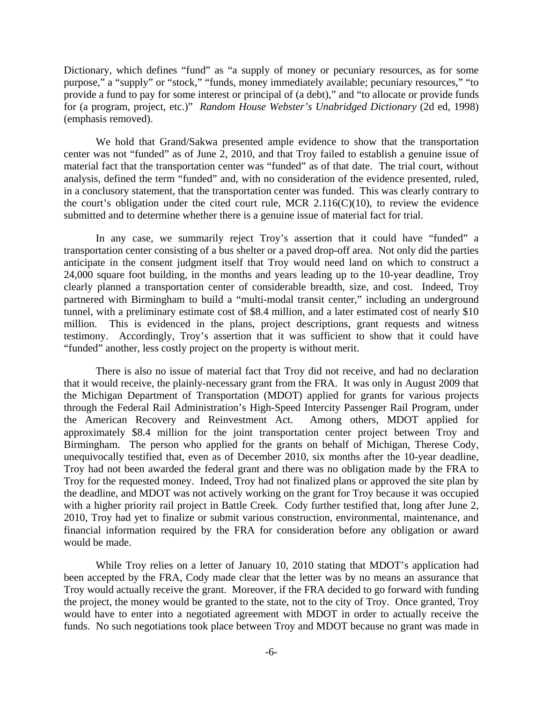Dictionary, which defines "fund" as "a supply of money or pecuniary resources, as for some purpose," a "supply" or "stock," "funds, money immediately available; pecuniary resources," "to provide a fund to pay for some interest or principal of (a debt)," and "to allocate or provide funds for (a program, project, etc.)" *Random House Webster's Unabridged Dictionary* (2d ed, 1998) (emphasis removed).

 We hold that Grand/Sakwa presented ample evidence to show that the transportation center was not "funded" as of June 2, 2010, and that Troy failed to establish a genuine issue of material fact that the transportation center was "funded" as of that date. The trial court, without analysis, defined the term "funded" and, with no consideration of the evidence presented, ruled, in a conclusory statement, that the transportation center was funded. This was clearly contrary to the court's obligation under the cited court rule, MCR  $2.116(C)(10)$ , to review the evidence submitted and to determine whether there is a genuine issue of material fact for trial.

 In any case, we summarily reject Troy's assertion that it could have "funded" a transportation center consisting of a bus shelter or a paved drop-off area. Not only did the parties anticipate in the consent judgment itself that Troy would need land on which to construct a 24,000 square foot building, in the months and years leading up to the 10-year deadline, Troy clearly planned a transportation center of considerable breadth, size, and cost. Indeed, Troy partnered with Birmingham to build a "multi-modal transit center," including an underground tunnel, with a preliminary estimate cost of \$8.4 million, and a later estimated cost of nearly \$10 million. This is evidenced in the plans, project descriptions, grant requests and witness testimony. Accordingly, Troy's assertion that it was sufficient to show that it could have "funded" another, less costly project on the property is without merit.

 There is also no issue of material fact that Troy did not receive, and had no declaration that it would receive, the plainly-necessary grant from the FRA. It was only in August 2009 that the Michigan Department of Transportation (MDOT) applied for grants for various projects through the Federal Rail Administration's High-Speed Intercity Passenger Rail Program, under the American Recovery and Reinvestment Act. Among others, MDOT applied for approximately \$8.4 million for the joint transportation center project between Troy and Birmingham. The person who applied for the grants on behalf of Michigan, Therese Cody, unequivocally testified that, even as of December 2010, six months after the 10-year deadline, Troy had not been awarded the federal grant and there was no obligation made by the FRA to Troy for the requested money. Indeed, Troy had not finalized plans or approved the site plan by the deadline, and MDOT was not actively working on the grant for Troy because it was occupied with a higher priority rail project in Battle Creek. Cody further testified that, long after June 2, 2010, Troy had yet to finalize or submit various construction, environmental, maintenance, and financial information required by the FRA for consideration before any obligation or award would be made.

 While Troy relies on a letter of January 10, 2010 stating that MDOT's application had been accepted by the FRA, Cody made clear that the letter was by no means an assurance that Troy would actually receive the grant. Moreover, if the FRA decided to go forward with funding the project, the money would be granted to the state, not to the city of Troy. Once granted, Troy would have to enter into a negotiated agreement with MDOT in order to actually receive the funds. No such negotiations took place between Troy and MDOT because no grant was made in